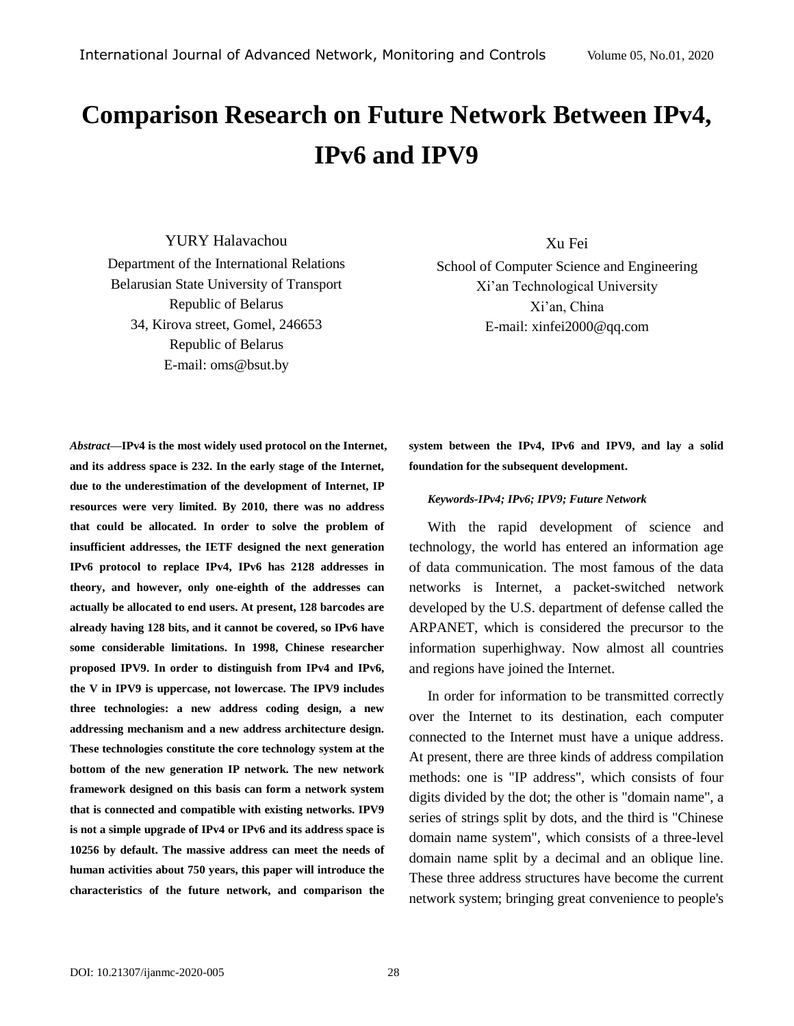# **Comparison Research on Future Network Between IPv4, IPv6 and IPV9**

YURY Halavachou Department of the International Relations Belarusian State University of Transport Republic of Belarus 34, Kirova street, Gomel, 246653 Republic of Belarus E-mail: oms@bsut.by

Xu Fei

School of Computer Science and Engineering Xi'an Technological University Xi'an, China E-mail: xinfei2000@qq.com

*Abstract—***IPv4 is the most widely used protocol on the Internet, and its address space is 232. In the early stage of the Internet, due to the underestimation of the development of Internet, IP resources were very limited. By 2010, there was no address that could be allocated. In order to solve the problem of insufficient addresses, the IETF designed the next generation IPv6 protocol to replace IPv4, IPv6 has 2128 addresses in theory, and however, only one-eighth of the addresses can actually be allocated to end users. At present, 128 barcodes are already having 128 bits, and it cannot be covered, so IPv6 have some considerable limitations. In 1998, Chinese researcher proposed IPV9. In order to distinguish from IPv4 and IPv6, the V in IPV9 is uppercase, not lowercase. The IPV9 includes three technologies: a new address coding design, a new addressing mechanism and a new address architecture design. These technologies constitute the core technology system at the bottom of the new generation IP network. The new network framework designed on this basis can form a network system that is connected and compatible with existing networks. IPV9 is not a simple upgrade of IPv4 or IPv6 and its address space is 10256 by default. The massive address can meet the needs of human activities about 750 years, this paper will introduce the characteristics of the future network, and comparison the** 

**system between the IPv4, IPv6 and IPV9, and lay a solid foundation for the subsequent development.**

#### *Keywords-IPv4; IPv6; IPV9; Future Network*

With the rapid development of science and technology, the world has entered an information age of data communication. The most famous of the data networks is Internet, a packet-switched network developed by the U.S. department of defense called the ARPANET, which is considered the precursor to the information superhighway. Now almost all countries and regions have joined the Internet.

In order for information to be transmitted correctly over the Internet to its destination, each computer connected to the Internet must have a unique address. At present, there are three kinds of address compilation methods: one is "IP address", which consists of four digits divided by the dot; the other is "domain name", a series of strings split by dots, and the third is "Chinese domain name system", which consists of a three-level domain name split by a decimal and an oblique line. These three address structures have become the current network system; bringing great convenience to people's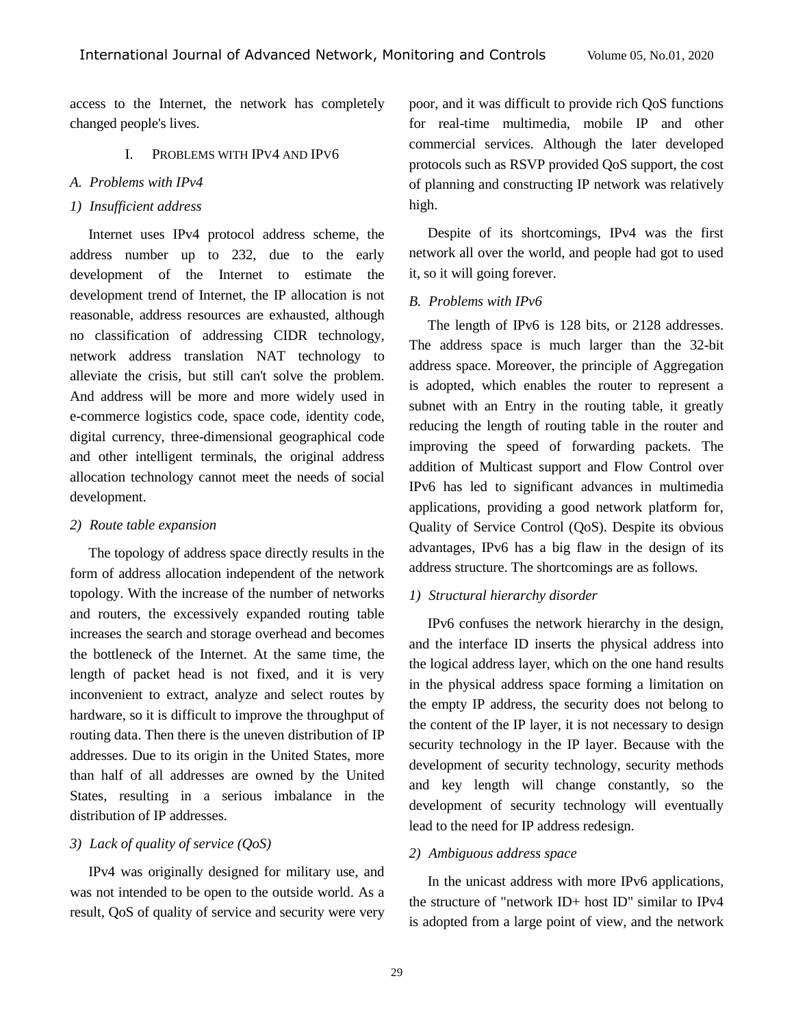access to the Internet, the network has completely changed people's lives.

#### I. PROBLEMS WITH IPV4 AND IPV6

#### *A. Problems with IPv4*

#### *1) Insufficient address*

Internet uses IPv4 protocol address scheme, the address number up to 232, due to the early development of the Internet to estimate the development trend of Internet, the IP allocation is not reasonable, address resources are exhausted, although no classification of addressing CIDR technology, network address translation NAT technology to alleviate the crisis, but still can't solve the problem. And address will be more and more widely used in e-commerce logistics code, space code, identity code, digital currency, three-dimensional geographical code and other intelligent terminals, the original address allocation technology cannot meet the needs of social development.

#### *2) Route table expansion*

The topology of address space directly results in the form of address allocation independent of the network topology. With the increase of the number of networks and routers, the excessively expanded routing table increases the search and storage overhead and becomes the bottleneck of the Internet. At the same time, the length of packet head is not fixed, and it is very inconvenient to extract, analyze and select routes by hardware, so it is difficult to improve the throughput of routing data. Then there is the uneven distribution of IP addresses. Due to its origin in the United States, more than half of all addresses are owned by the United States, resulting in a serious imbalance in the distribution of IP addresses.

## *3) Lack of quality of service (QoS)*

IPv4 was originally designed for military use, and was not intended to be open to the outside world. As a result, QoS of quality of service and security were very

poor, and it was difficult to provide rich QoS functions for real-time multimedia, mobile IP and other commercial services. Although the later developed protocols such as RSVP provided QoS support, the cost of planning and constructing IP network was relatively high.

Despite of its shortcomings, IPv4 was the first network all over the world, and people had got to used it, so it will going forever.

#### *B. Problems with IPv6*

The length of IPv6 is 128 bits, or 2128 addresses. The address space is much larger than the 32-bit address space. Moreover, the principle of Aggregation is adopted, which enables the router to represent a subnet with an Entry in the routing table, it greatly reducing the length of routing table in the router and improving the speed of forwarding packets. The addition of Multicast support and Flow Control over IPv6 has led to significant advances in multimedia applications, providing a good network platform for, Quality of Service Control (QoS). Despite its obvious advantages, IPv6 has a big flaw in the design of its address structure. The shortcomings are as follows.

#### *1) Structural hierarchy disorder*

IPv6 confuses the network hierarchy in the design, and the interface ID inserts the physical address into the logical address layer, which on the one hand results in the physical address space forming a limitation on the empty IP address, the security does not belong to the content of the IP layer, it is not necessary to design security technology in the IP layer. Because with the development of security technology, security methods and key length will change constantly, so the development of security technology will eventually lead to the need for IP address redesign.

#### *2) Ambiguous address space*

In the unicast address with more IPv6 applications, the structure of "network ID+ host ID" similar to IPv4 is adopted from a large point of view, and the network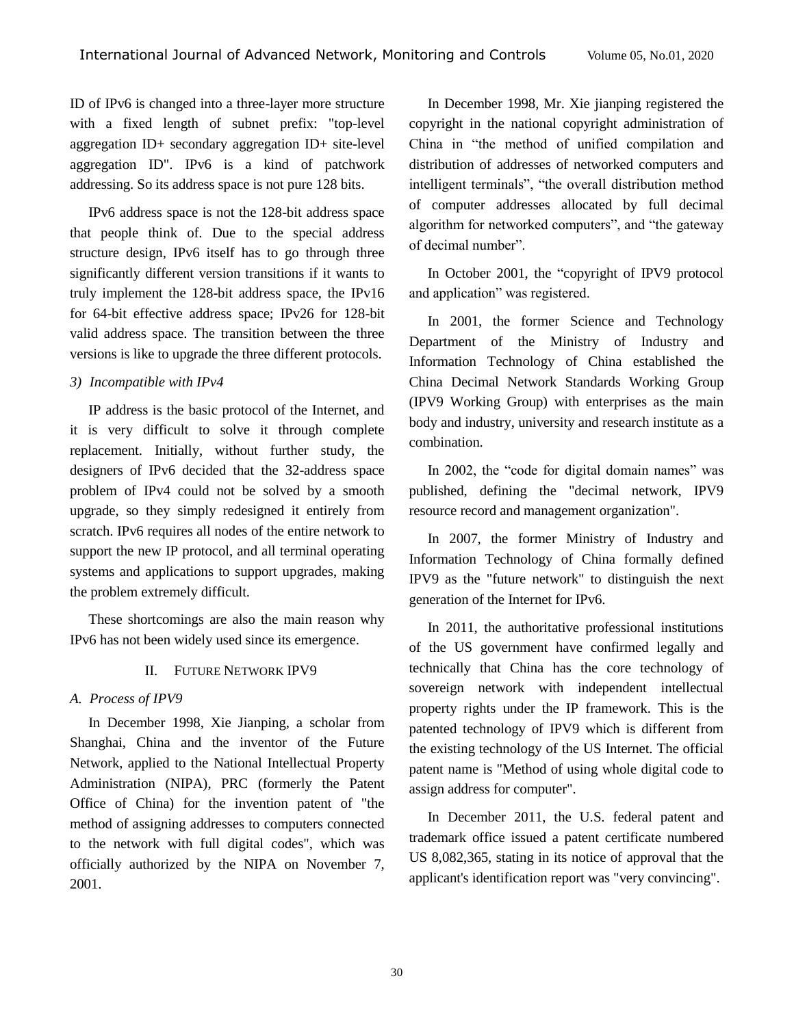ID of IPv6 is changed into a three-layer more structure with a fixed length of subnet prefix: "top-level aggregation ID+ secondary aggregation ID+ site-level aggregation ID". IPv6 is a kind of patchwork addressing. So its address space is not pure 128 bits.

IPv6 address space is not the 128-bit address space that people think of. Due to the special address structure design, IPv6 itself has to go through three significantly different version transitions if it wants to truly implement the 128-bit address space, the IPv16 for 64-bit effective address space; IPv26 for 128-bit valid address space. The transition between the three versions is like to upgrade the three different protocols.

## *3) Incompatible with IPv4*

IP address is the basic protocol of the Internet, and it is very difficult to solve it through complete replacement. Initially, without further study, the designers of IPv6 decided that the 32-address space problem of IPv4 could not be solved by a smooth upgrade, so they simply redesigned it entirely from scratch. IPv6 requires all nodes of the entire network to support the new IP protocol, and all terminal operating systems and applications to support upgrades, making the problem extremely difficult.

These shortcomings are also the main reason why IPv6 has not been widely used since its emergence.

## II. FUTURE NETWORK IPV9

# *A. Process of IPV9*

In December 1998, Xie Jianping, a scholar from Shanghai, China and the inventor of the Future Network, applied to the National Intellectual Property Administration (NIPA), PRC (formerly the Patent Office of China) for the invention patent of "the method of assigning addresses to computers connected to the network with full digital codes", which was officially authorized by the NIPA on November 7, 2001.

In December 1998, Mr. Xie jianping registered the copyright in the national copyright administration of China in "the method of unified compilation and distribution of addresses of networked computers and intelligent terminals", "the overall distribution method of computer addresses allocated by full decimal algorithm for networked computers", and "the gateway of decimal number".

In October 2001, the "copyright of IPV9 protocol and application" was registered.

In 2001, the former Science and Technology Department of the Ministry of Industry and Information Technology of China established the China Decimal Network Standards Working Group (IPV9 Working Group) with enterprises as the main body and industry, university and research institute as a combination.

In 2002, the "code for digital domain names" was published, defining the "decimal network, IPV9 resource record and management organization".

In 2007, the former Ministry of Industry and Information Technology of China formally defined IPV9 as the "future network" to distinguish the next generation of the Internet for IPv6.

In 2011, the authoritative professional institutions of the US government have confirmed legally and technically that China has the core technology of sovereign network with independent intellectual property rights under the IP framework. This is the patented technology of IPV9 which is different from the existing technology of the US Internet. The official patent name is "Method of using whole digital code to assign address for computer".

In December 2011, the U.S. federal patent and trademark office issued a patent certificate numbered US 8,082,365, stating in its notice of approval that the applicant's identification report was "very convincing".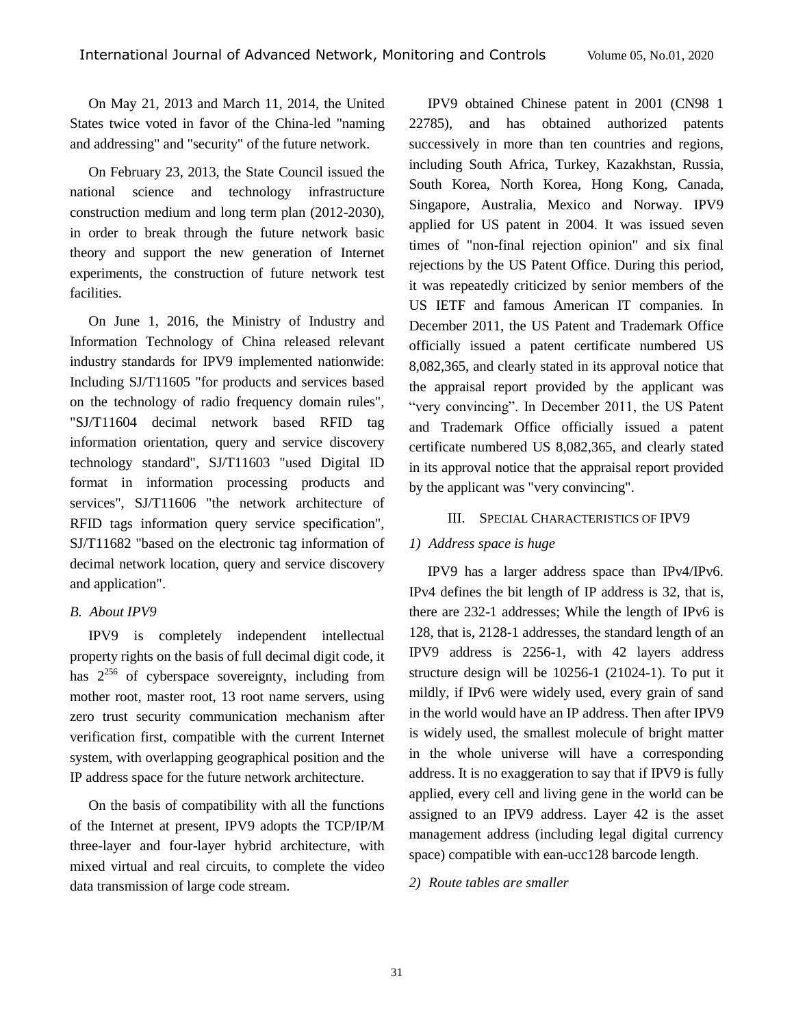On May 21, 2013 and March 11, 2014, the United States twice voted in favor of the China-led "naming and addressing" and "security" of the future network.

On February 23, 2013, the State Council issued the national science and technology infrastructure construction medium and long term plan (2012-2030), in order to break through the future network basic theory and support the new generation of Internet experiments, the construction of future network test facilities.

On June 1, 2016, the Ministry of Industry and Information Technology of China released relevant industry standards for IPV9 implemented nationwide: Including SJ/T11605 "for products and services based on the technology of radio frequency domain rules", "SJ/T11604 decimal network based RFID tag information orientation, query and service discovery technology standard", SJ/T11603 "used Digital ID format in information processing products and services", SJ/T11606 "the network architecture of RFID tags information query service specification", SJ/T11682 "based on the electronic tag information of decimal network location, query and service discovery and application".

#### *B. About IPV9*

IPV9 is completely independent intellectual property rights on the basis of full decimal digit code, it has  $2^{256}$  of cyberspace sovereignty, including from mother root, master root, 13 root name servers, using zero trust security communication mechanism after verification first, compatible with the current Internet system, with overlapping geographical position and the IP address space for the future network architecture.

On the basis of compatibility with all the functions of the Internet at present, IPV9 adopts the TCP/IP/M three-layer and four-layer hybrid architecture, with mixed virtual and real circuits, to complete the video data transmission of large code stream.

IPV9 obtained Chinese patent in 2001 (CN98 1 22785), and has obtained authorized patents successively in more than ten countries and regions, including South Africa, Turkey, Kazakhstan, Russia, South Korea, North Korea, Hong Kong, Canada, Singapore, Australia, Mexico and Norway. IPV9 applied for US patent in 2004. It was issued seven times of "non-final rejection opinion" and six final rejections by the US Patent Office. During this period, it was repeatedly criticized by senior members of the US IETF and famous American IT companies. In December 2011, the US Patent and Trademark Office officially issued a patent certificate numbered US 8,082,365, and clearly stated in its approval notice that the appraisal report provided by the applicant was "very convincing". In December 2011, the US Patent and Trademark Office officially issued a patent certificate numbered US 8,082,365, and clearly stated in its approval notice that the appraisal report provided by the applicant was "very convincing".

#### III. SPECIAL CHARACTERISTICS OF IPV9

## *1) Address space is huge*

IPV9 has a larger address space than IPv4/IPv6. IPv4 defines the bit length of IP address is 32, that is, there are 232-1 addresses; While the length of IPv6 is 128, that is, 2128-1 addresses, the standard length of an IPV9 address is 2256-1, with 42 layers address structure design will be 10256-1 (21024-1). To put it mildly, if IPv6 were widely used, every grain of sand in the world would have an IP address. Then after IPV9 is widely used, the smallest molecule of bright matter in the whole universe will have a corresponding address. It is no exaggeration to say that if IPV9 is fully applied, every cell and living gene in the world can be assigned to an IPV9 address. Layer 42 is the asset management address (including legal digital currency space) compatible with ean-ucc128 barcode length.

*2) Route tables are smaller*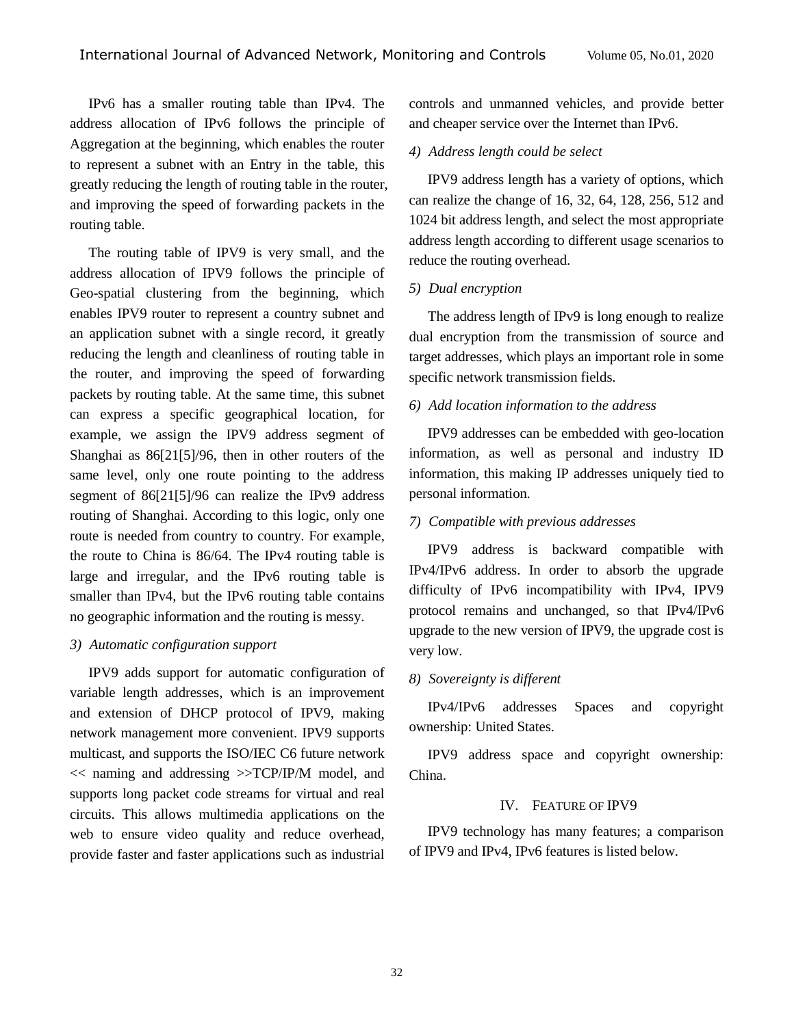IPv6 has a smaller routing table than IPv4. The address allocation of IPv6 follows the principle of Aggregation at the beginning, which enables the router to represent a subnet with an Entry in the table, this greatly reducing the length of routing table in the router, and improving the speed of forwarding packets in the routing table.

The routing table of IPV9 is very small, and the address allocation of IPV9 follows the principle of Geo-spatial clustering from the beginning, which enables IPV9 router to represent a country subnet and an application subnet with a single record, it greatly reducing the length and cleanliness of routing table in the router, and improving the speed of forwarding packets by routing table. At the same time, this subnet can express a specific geographical location, for example, we assign the IPV9 address segment of Shanghai as 86[21[5]/96, then in other routers of the same level, only one route pointing to the address segment of 86[21[5]/96 can realize the IPv9 address routing of Shanghai. According to this logic, only one route is needed from country to country. For example, the route to China is 86/64. The IPv4 routing table is large and irregular, and the IPv6 routing table is smaller than IPv4, but the IPv6 routing table contains no geographic information and the routing is messy.

#### *3) Automatic configuration support*

IPV9 adds support for automatic configuration of variable length addresses, which is an improvement and extension of DHCP protocol of IPV9, making network management more convenient. IPV9 supports multicast, and supports the ISO/IEC C6 future network << naming and addressing >>TCP/IP/M model, and supports long packet code streams for virtual and real circuits. This allows multimedia applications on the web to ensure video quality and reduce overhead, provide faster and faster applications such as industrial controls and unmanned vehicles, and provide better and cheaper service over the Internet than IPv6.

#### *4) Address length could be select*

IPV9 address length has a variety of options, which can realize the change of 16, 32, 64, 128, 256, 512 and 1024 bit address length, and select the most appropriate address length according to different usage scenarios to reduce the routing overhead.

#### *5) Dual encryption*

The address length of IPv9 is long enough to realize dual encryption from the transmission of source and target addresses, which plays an important role in some specific network transmission fields.

#### *6) Add location information to the address*

IPV9 addresses can be embedded with geo-location information, as well as personal and industry ID information, this making IP addresses uniquely tied to personal information.

#### *7) Compatible with previous addresses*

IPV9 address is backward compatible with IPv4/IPv6 address. In order to absorb the upgrade difficulty of IPv6 incompatibility with IPv4, IPV9 protocol remains and unchanged, so that IPv4/IPv6 upgrade to the new version of IPV9, the upgrade cost is very low.

#### *8) Sovereignty is different*

IPv4/IPv6 addresses Spaces and copyright ownership: United States.

IPV9 address space and copyright ownership: China.

#### IV. F[EATURE](javascript:;) OF IPV9

IPV9 technology has many features; a comparison of IPV9 and IPv4, IPv6 features is listed below.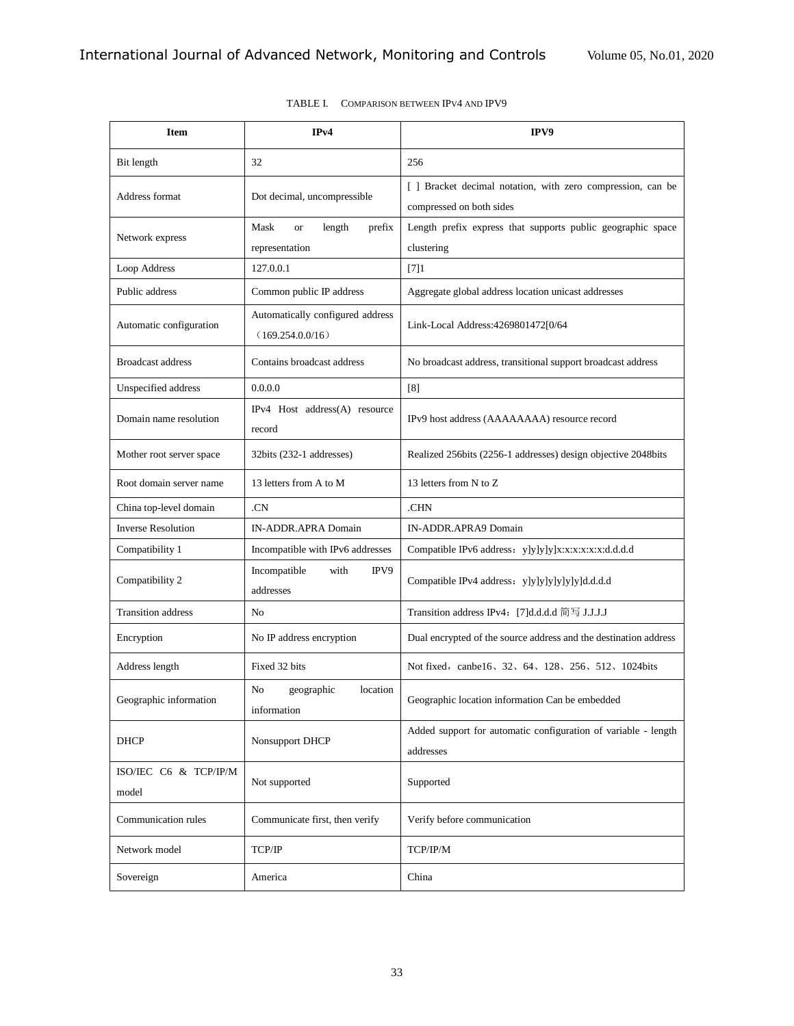| <b>Item</b>                    | IPv4                                                 | IPV9                                                                                    |
|--------------------------------|------------------------------------------------------|-----------------------------------------------------------------------------------------|
| Bit length                     | 32                                                   | 256                                                                                     |
| Address format                 | Dot decimal, uncompressible                          | [ ] Bracket decimal notation, with zero compression, can be<br>compressed on both sides |
| Network express                | Mask<br>length<br>prefix<br><b>or</b>                | Length prefix express that supports public geographic space                             |
|                                | representation                                       | clustering                                                                              |
| Loop Address                   | 127.0.0.1                                            | $[7]1$                                                                                  |
| Public address                 | Common public IP address                             | Aggregate global address location unicast addresses                                     |
| Automatic configuration        | Automatically configured address<br>(169.254.0.0/16) | Link-Local Address: 4269801472[0/64                                                     |
| <b>Broadcast address</b>       | Contains broadcast address                           | No broadcast address, transitional support broadcast address                            |
| Unspecified address            | 0.0.0.0                                              | [8]                                                                                     |
| Domain name resolution         | IPv4 Host address(A) resource<br>record              | IPv9 host address (AAAAAAAA) resource record                                            |
| Mother root server space       | 32bits (232-1 addresses)                             | Realized 256bits (2256-1 addresses) design objective 2048bits                           |
| Root domain server name        | 13 letters from A to M                               | 13 letters from N to Z                                                                  |
| China top-level domain         | .CN                                                  | .CHN                                                                                    |
| <b>Inverse Resolution</b>      | IN-ADDR.APRA Domain                                  | IN-ADDR.APRA9 Domain                                                                    |
| Compatibility 1                | Incompatible with IPv6 addresses                     | Compatible IPv6 address: y]y]y]y]x:x:x:x:x:x:d.d.d.d                                    |
| Compatibility 2                | Incompatible<br>IPV9<br>with<br>addresses            | Compatible IPv4 address: y]y]y]y]y]y]y]d.d.d.d                                          |
| <b>Transition address</b>      | N <sub>o</sub>                                       | Transition address IPv4: [7]d.d.d.d 简写 J.J.J.J                                          |
| Encryption                     | No IP address encryption                             | Dual encrypted of the source address and the destination address                        |
| Address length                 | Fixed 32 bits                                        | Not fixed, canbe16, 32, 64, 128, 256, 512, 1024 bits                                    |
| Geographic information         | No<br>geographic<br>location<br>information          | Geographic location information Can be embedded                                         |
| DHCP                           | Nonsupport DHCP                                      | Added support for automatic configuration of variable - length<br>addresses             |
| ISO/IEC C6 & TCP/IP/M<br>model | Not supported                                        | Supported                                                                               |
| Communication rules            | Communicate first, then verify                       | Verify before communication                                                             |
| Network model                  | TCP/IP                                               | TCP/IP/M                                                                                |
| Sovereign                      | America                                              | China                                                                                   |

| TABLE L | COMPARISON BETWEEN IPV4 AND IPV9 |  |
|---------|----------------------------------|--|
|         |                                  |  |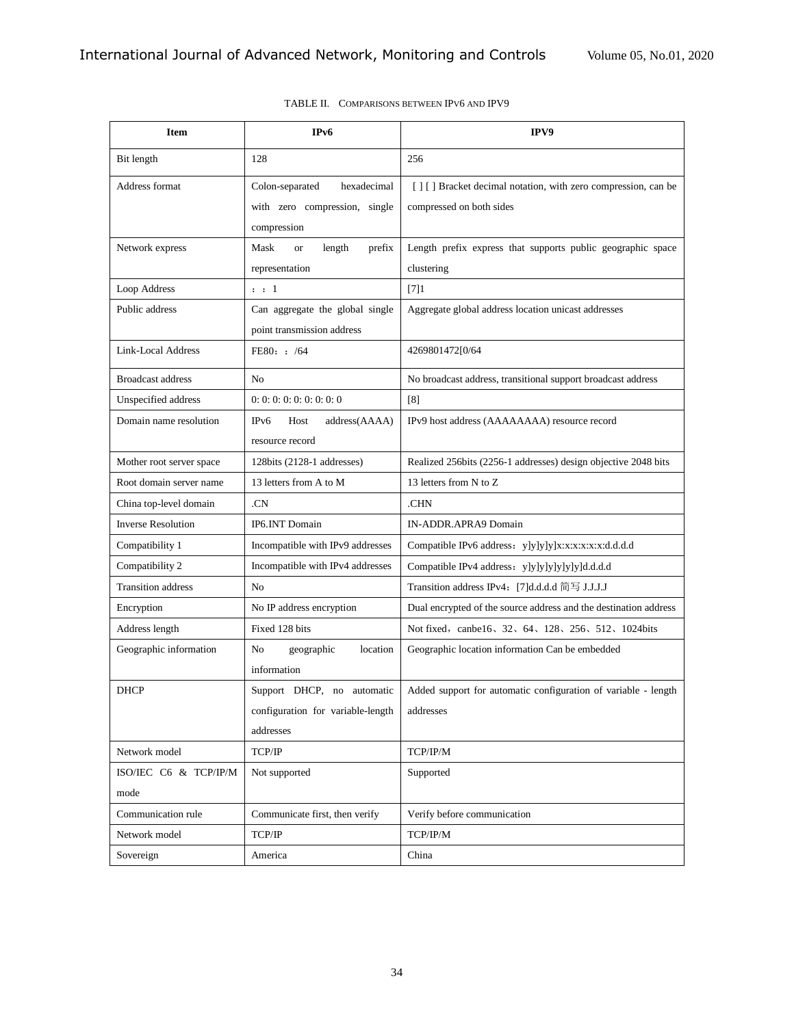| Item                          | IP <sub>v</sub> 6                                                              | IPV9                                                                                      |
|-------------------------------|--------------------------------------------------------------------------------|-------------------------------------------------------------------------------------------|
| Bit length                    | 128                                                                            | 256                                                                                       |
| Address format                | Colon-separated<br>hexadecimal<br>with zero compression, single<br>compression | [] [] Bracket decimal notation, with zero compression, can be<br>compressed on both sides |
| Network express               | length<br>Mask<br><b>or</b><br>prefix<br>representation                        | Length prefix express that supports public geographic space<br>clustering                 |
| Loop Address                  | $\therefore$ 1                                                                 | $[7]1$                                                                                    |
| Public address                | Can aggregate the global single<br>point transmission address                  | Aggregate global address location unicast addresses                                       |
| Link-Local Address            | FE80: : /64                                                                    | 4269801472[0/64                                                                           |
| <b>Broadcast address</b>      | N <sub>o</sub>                                                                 | No broadcast address, transitional support broadcast address                              |
| Unspecified address           | 0: 0: 0: 0: 0: 0: 0: 0: 0                                                      | $\lceil 8 \rceil$                                                                         |
| Domain name resolution        | IP <sub>v6</sub><br>Host<br>address(AAAA)<br>resource record                   | IPv9 host address (AAAAAAAA) resource record                                              |
| Mother root server space      | 128bits (2128-1 addresses)                                                     | Realized 256bits (2256-1 addresses) design objective 2048 bits                            |
| Root domain server name       | 13 letters from A to M                                                         | 13 letters from N to Z                                                                    |
| China top-level domain        | .CN                                                                            | .CHN                                                                                      |
| <b>Inverse Resolution</b>     | IP6.INT Domain                                                                 | IN-ADDR.APRA9 Domain                                                                      |
| Compatibility 1               | Incompatible with IPv9 addresses                                               | Compatible IPv6 address: y]y]y]y]x:x:x:x:x:x:d.d.d.d                                      |
| Compatibility 2               | Incompatible with IPv4 addresses                                               | Compatible IPv4 address: y]y]y]y]y]y]y]d.d.d.d                                            |
| <b>Transition address</b>     | N <sub>0</sub>                                                                 | Transition address IPv4: [7]d.d.d.d 简写 J.J.J.J                                            |
| Encryption                    | No IP address encryption                                                       | Dual encrypted of the source address and the destination address                          |
| Address length                | Fixed 128 bits                                                                 | Not fixed, canbe16, 32, 64, 128, 256, 512, 1024 bits                                      |
| Geographic information        | N <sub>o</sub><br>geographic<br>location<br>information                        | Geographic location information Can be embedded                                           |
| <b>DHCP</b>                   | Support DHCP, no automatic                                                     | Added support for automatic configuration of variable - length                            |
|                               | configuration for variable-length                                              | addresses                                                                                 |
|                               | addresses                                                                      |                                                                                           |
| Network model                 | TCP/IP                                                                         | TCP/IP/M                                                                                  |
| ISO/IEC C6 & TCP/IP/M<br>mode | Not supported                                                                  | Supported                                                                                 |
| Communication rule            | Communicate first, then verify                                                 | Verify before communication                                                               |
| Network model                 | $\ensuremath{\mathsf{TCP}}\xspace/\ensuremath{\mathsf{IP}}\xspace$             | TCP/IP/M                                                                                  |
| Sovereign                     | America                                                                        | China                                                                                     |

| TABLE II. COMPARISONS BETWEEN IPV6 AND IPV9 |
|---------------------------------------------|
|                                             |